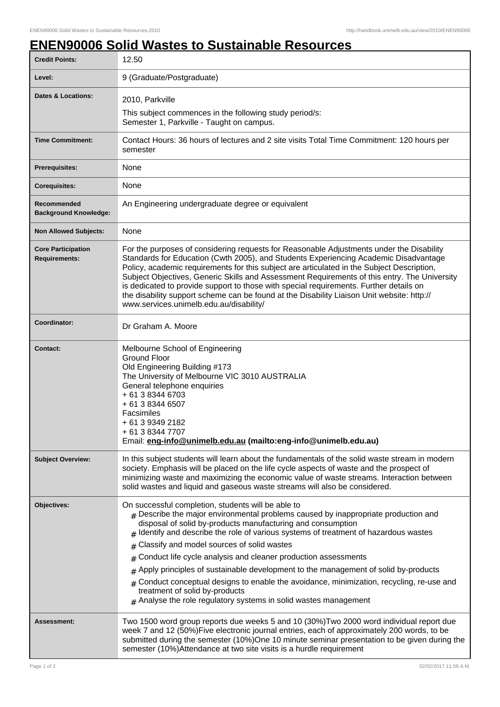## **ENEN90006 Solid Wastes to Sustainable Resources**

| <b>Credit Points:</b>                             | 12.50                                                                                                                                                                                                                                                                                                                                                                                                                                                                                                                                                                                                                                                                                                                             |
|---------------------------------------------------|-----------------------------------------------------------------------------------------------------------------------------------------------------------------------------------------------------------------------------------------------------------------------------------------------------------------------------------------------------------------------------------------------------------------------------------------------------------------------------------------------------------------------------------------------------------------------------------------------------------------------------------------------------------------------------------------------------------------------------------|
| Level:                                            | 9 (Graduate/Postgraduate)                                                                                                                                                                                                                                                                                                                                                                                                                                                                                                                                                                                                                                                                                                         |
| <b>Dates &amp; Locations:</b>                     | 2010, Parkville                                                                                                                                                                                                                                                                                                                                                                                                                                                                                                                                                                                                                                                                                                                   |
|                                                   | This subject commences in the following study period/s:<br>Semester 1, Parkville - Taught on campus.                                                                                                                                                                                                                                                                                                                                                                                                                                                                                                                                                                                                                              |
| <b>Time Commitment:</b>                           | Contact Hours: 36 hours of lectures and 2 site visits Total Time Commitment: 120 hours per<br>semester                                                                                                                                                                                                                                                                                                                                                                                                                                                                                                                                                                                                                            |
| <b>Prerequisites:</b>                             | None                                                                                                                                                                                                                                                                                                                                                                                                                                                                                                                                                                                                                                                                                                                              |
| <b>Corequisites:</b>                              | None                                                                                                                                                                                                                                                                                                                                                                                                                                                                                                                                                                                                                                                                                                                              |
| Recommended<br><b>Background Knowledge:</b>       | An Engineering undergraduate degree or equivalent                                                                                                                                                                                                                                                                                                                                                                                                                                                                                                                                                                                                                                                                                 |
| <b>Non Allowed Subjects:</b>                      | None                                                                                                                                                                                                                                                                                                                                                                                                                                                                                                                                                                                                                                                                                                                              |
| <b>Core Participation</b><br><b>Requirements:</b> | For the purposes of considering requests for Reasonable Adjustments under the Disability<br>Standards for Education (Cwth 2005), and Students Experiencing Academic Disadvantage<br>Policy, academic requirements for this subject are articulated in the Subject Description,<br>Subject Objectives, Generic Skills and Assessment Requirements of this entry. The University<br>is dedicated to provide support to those with special requirements. Further details on<br>the disability support scheme can be found at the Disability Liaison Unit website: http://<br>www.services.unimelb.edu.au/disability/                                                                                                                 |
| Coordinator:                                      | Dr Graham A. Moore                                                                                                                                                                                                                                                                                                                                                                                                                                                                                                                                                                                                                                                                                                                |
| <b>Contact:</b>                                   | Melbourne School of Engineering<br><b>Ground Floor</b><br>Old Engineering Building #173<br>The University of Melbourne VIC 3010 AUSTRALIA<br>General telephone enquiries<br>+ 61 3 8344 6703<br>+ 61 3 8344 6507<br>Facsimiles<br>+ 61 3 9349 2182<br>+ 61 3 8344 7707<br>Email: eng-info@unimelb.edu.au (mailto:eng-info@unimelb.edu.au)                                                                                                                                                                                                                                                                                                                                                                                         |
| <b>Subject Overview:</b>                          | In this subject students will learn about the fundamentals of the solid waste stream in modern<br>society. Emphasis will be placed on the life cycle aspects of waste and the prospect of<br>minimizing waste and maximizing the economic value of waste streams. Interaction between<br>solid wastes and liquid and gaseous waste streams will also be considered.                                                                                                                                                                                                                                                                                                                                                               |
| Objectives:                                       | On successful completion, students will be able to<br>$#$ Describe the major environmental problems caused by inappropriate production and<br>disposal of solid by-products manufacturing and consumption<br>Identify and describe the role of various systems of treatment of hazardous wastes<br>#<br>Classify and model sources of solid wastes<br>#<br>Conduct life cycle analysis and cleaner production assessments<br>#<br>Apply principles of sustainable development to the management of solid by-products<br>#<br>Conduct conceptual designs to enable the avoidance, minimization, recycling, re-use and<br>#<br>treatment of solid by-products<br>$#$ Analyse the role regulatory systems in solid wastes management |
| Assessment:                                       | Two 1500 word group reports due weeks 5 and 10 (30%) Two 2000 word individual report due<br>week 7 and 12 (50%)Five electronic journal entries, each of approximately 200 words, to be<br>submitted during the semester (10%)One 10 minute seminar presentation to be given during the<br>semester (10%)Attendance at two site visits is a hurdle requirement                                                                                                                                                                                                                                                                                                                                                                     |